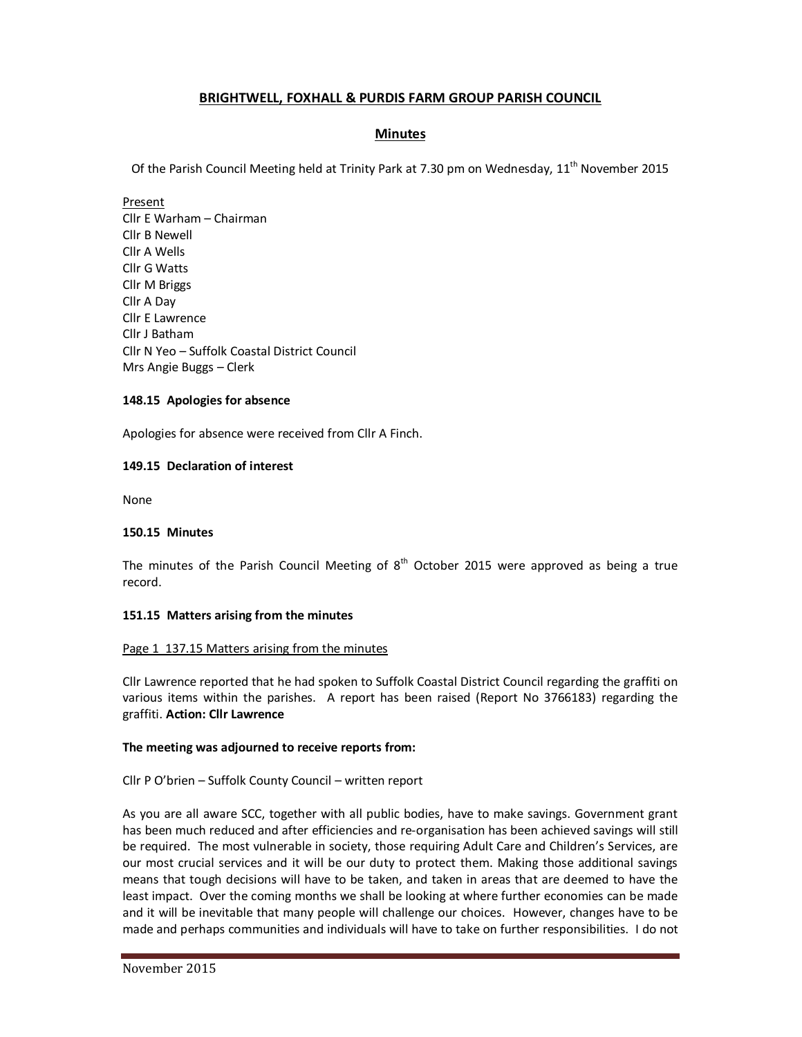# **BRIGHTWELL, FOXHALL & PURDIS FARM GROUP PARISH COUNCIL**

### **Minutes**

Of the Parish Council Meeting held at Trinity Park at 7.30 pm on Wednesday, 11<sup>th</sup> November 2015

### Present Cllr E Warham – Chairman Cllr B Newell Cllr A Wells Cllr G Watts Cllr M Briggs Cllr A Day Cllr E Lawrence Cllr J Batham Cllr N Yeo – Suffolk Coastal District Council Mrs Angie Buggs – Clerk

### **148.15 Apologies for absence**

Apologies for absence were received from Cllr A Finch.

### **149.15 Declaration of interest**

None

#### **150.15 Minutes**

The minutes of the Parish Council Meeting of  $8<sup>th</sup>$  October 2015 were approved as being a true record.

#### **151.15 Matters arising from the minutes**

#### Page 1 137.15 Matters arising from the minutes

Cllr Lawrence reported that he had spoken to Suffolk Coastal District Council regarding the graffiti on various items within the parishes. A report has been raised (Report No 3766183) regarding the graffiti. **Action: Cllr Lawrence** 

#### **The meeting was adjourned to receive reports from:**

#### Cllr P O'brien – Suffolk County Council – written report

As you are all aware SCC, together with all public bodies, have to make savings. Government grant has been much reduced and after efficiencies and re-organisation has been achieved savings will still be required. The most vulnerable in society, those requiring Adult Care and Children's Services, are our most crucial services and it will be our duty to protect them. Making those additional savings means that tough decisions will have to be taken, and taken in areas that are deemed to have the least impact. Over the coming months we shall be looking at where further economies can be made and it will be inevitable that many people will challenge our choices. However, changes have to be made and perhaps communities and individuals will have to take on further responsibilities. I do not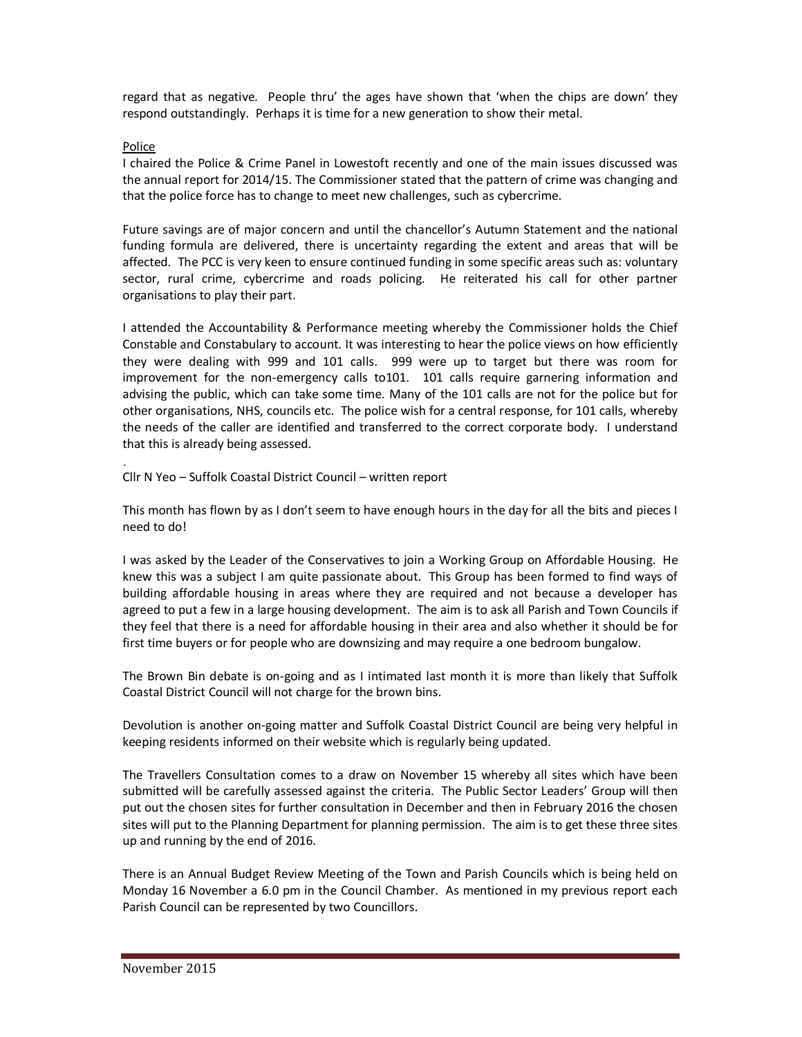regard that as negative. People thru' the ages have shown that 'when the chips are down' they respond outstandingly. Perhaps it is time for a new generation to show their metal.

#### Police

I chaired the Police & Crime Panel in Lowestoft recently and one of the main issues discussed was the annual report for 2014/15. The Commissioner stated that the pattern of crime was changing and that the police force has to change to meet new challenges, such as cybercrime.

Future savings are of major concern and until the chancellor's Autumn Statement and the national funding formula are delivered, there is uncertainty regarding the extent and areas that will be affected. The PCC is very keen to ensure continued funding in some specific areas such as: voluntary sector, rural crime, cybercrime and roads policing. He reiterated his call for other partner organisations to play their part.

I attended the Accountability & Performance meeting whereby the Commissioner holds the Chief Constable and Constabulary to account. It was interesting to hear the police views on how efficiently they were dealing with 999 and 101 calls. 999 were up to target but there was room for improvement for the non-emergency calls to101. 101 calls require garnering information and advising the public, which can take some time. Many of the 101 calls are not for the police but for other organisations, NHS, councils etc. The police wish for a central response, for 101 calls, whereby the needs of the caller are identified and transferred to the correct corporate body. I understand that this is already being assessed. .

Cllr N Yeo – Suffolk Coastal District Council – written report

This month has flown by as I don't seem to have enough hours in the day for all the bits and pieces I need to do!

I was asked by the Leader of the Conservatives to join a Working Group on Affordable Housing. He knew this was a subject I am quite passionate about. This Group has been formed to find ways of building affordable housing in areas where they are required and not because a developer has agreed to put a few in a large housing development. The aim is to ask all Parish and Town Councils if they feel that there is a need for affordable housing in their area and also whether it should be for first time buyers or for people who are downsizing and may require a one bedroom bungalow.

The Brown Bin debate is on-going and as I intimated last month it is more than likely that Suffolk Coastal District Council will not charge for the brown bins.

Devolution is another on-going matter and Suffolk Coastal District Council are being very helpful in keeping residents informed on their website which is regularly being updated.

The Travellers Consultation comes to a draw on November 15 whereby all sites which have been submitted will be carefully assessed against the criteria. The Public Sector Leaders' Group will then put out the chosen sites for further consultation in December and then in February 2016 the chosen sites will put to the Planning Department for planning permission. The aim is to get these three sites up and running by the end of 2016.

There is an Annual Budget Review Meeting of the Town and Parish Councils which is being held on Monday 16 November a 6.0 pm in the Council Chamber. As mentioned in my previous report each Parish Council can be represented by two Councillors.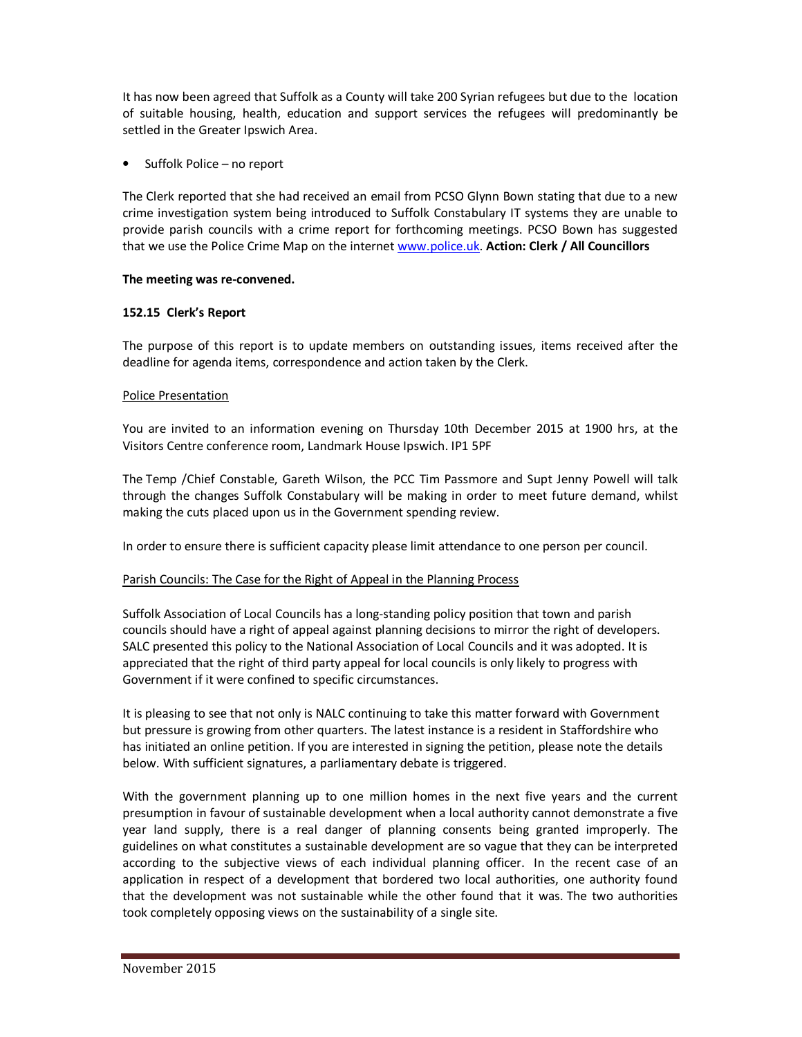It has now been agreed that Suffolk as a County will take 200 Syrian refugees but due to the location of suitable housing, health, education and support services the refugees will predominantly be settled in the Greater Ipswich Area.

• Suffolk Police – no report

The Clerk reported that she had received an email from PCSO Glynn Bown stating that due to a new crime investigation system being introduced to Suffolk Constabulary IT systems they are unable to provide parish councils with a crime report for forthcoming meetings. PCSO Bown has suggested that we use the Police Crime Map on the internet www.police.uk. **Action: Clerk / All Councillors** 

### **The meeting was re-convened.**

## **152.15 Clerk's Report**

The purpose of this report is to update members on outstanding issues, items received after the deadline for agenda items, correspondence and action taken by the Clerk.

## Police Presentation

You are invited to an information evening on Thursday 10th December 2015 at 1900 hrs, at the Visitors Centre conference room, Landmark House Ipswich. IP1 5PF

The Temp /Chief Constable, Gareth Wilson, the PCC Tim Passmore and Supt Jenny Powell will talk through the changes Suffolk Constabulary will be making in order to meet future demand, whilst making the cuts placed upon us in the Government spending review.

In order to ensure there is sufficient capacity please limit attendance to one person per council.

# Parish Councils: The Case for the Right of Appeal in the Planning Process

Suffolk Association of Local Councils has a long-standing policy position that town and parish councils should have a right of appeal against planning decisions to mirror the right of developers. SALC presented this policy to the National Association of Local Councils and it was adopted. It is appreciated that the right of third party appeal for local councils is only likely to progress with Government if it were confined to specific circumstances.

It is pleasing to see that not only is NALC continuing to take this matter forward with Government but pressure is growing from other quarters. The latest instance is a resident in Staffordshire who has initiated an online petition. If you are interested in signing the petition, please note the details below. With sufficient signatures, a parliamentary debate is triggered.

With the government planning up to one million homes in the next five years and the current presumption in favour of sustainable development when a local authority cannot demonstrate a five year land supply, there is a real danger of planning consents being granted improperly. The guidelines on what constitutes a sustainable development are so vague that they can be interpreted according to the subjective views of each individual planning officer. In the recent case of an application in respect of a development that bordered two local authorities, one authority found that the development was not sustainable while the other found that it was. The two authorities took completely opposing views on the sustainability of a single site.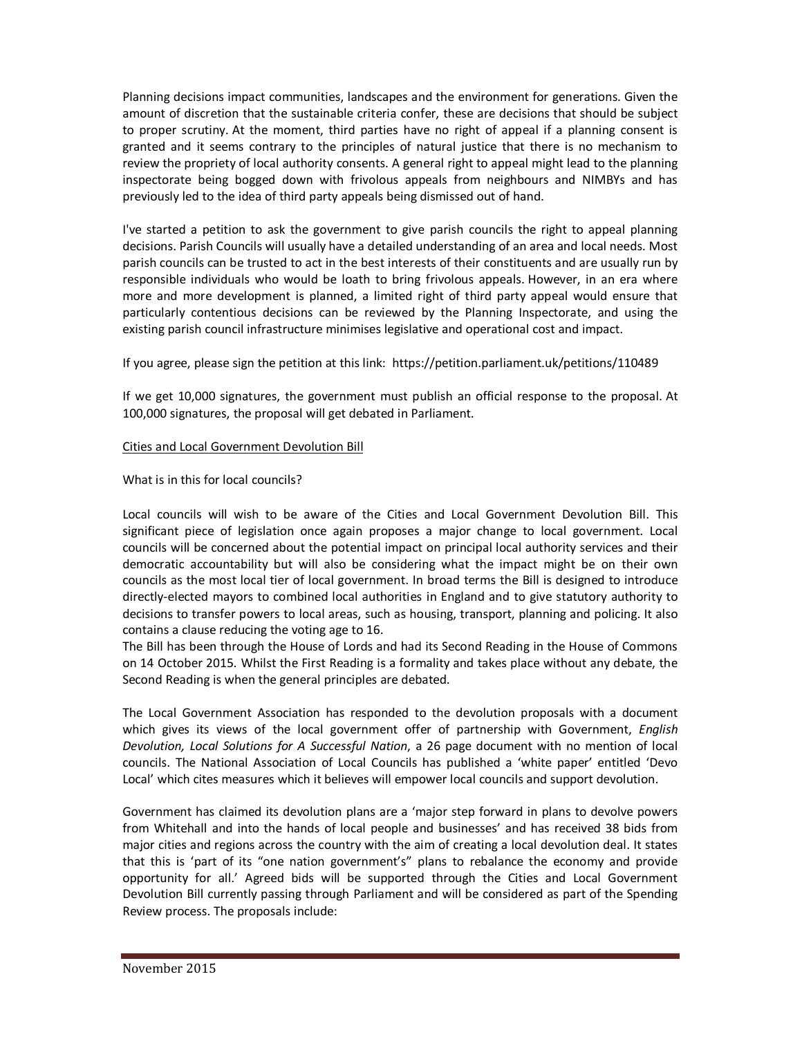Planning decisions impact communities, landscapes and the environment for generations. Given the amount of discretion that the sustainable criteria confer, these are decisions that should be subject to proper scrutiny. At the moment, third parties have no right of appeal if a planning consent is granted and it seems contrary to the principles of natural justice that there is no mechanism to review the propriety of local authority consents. A general right to appeal might lead to the planning inspectorate being bogged down with frivolous appeals from neighbours and NIMBYs and has previously led to the idea of third party appeals being dismissed out of hand.

I've started a petition to ask the government to give parish councils the right to appeal planning decisions. Parish Councils will usually have a detailed understanding of an area and local needs. Most parish councils can be trusted to act in the best interests of their constituents and are usually run by responsible individuals who would be loath to bring frivolous appeals. However, in an era where more and more development is planned, a limited right of third party appeal would ensure that particularly contentious decisions can be reviewed by the Planning Inspectorate, and using the existing parish council infrastructure minimises legislative and operational cost and impact.

If you agree, please sign the petition at this link: https://petition.parliament.uk/petitions/110489

If we get 10,000 signatures, the government must publish an official response to the proposal. At 100,000 signatures, the proposal will get debated in Parliament.

### Cities and Local Government Devolution Bill

### What is in this for local councils?

Local councils will wish to be aware of the Cities and Local Government Devolution Bill. This significant piece of legislation once again proposes a major change to local government. Local councils will be concerned about the potential impact on principal local authority services and their democratic accountability but will also be considering what the impact might be on their own councils as the most local tier of local government. In broad terms the Bill is designed to introduce directly-elected mayors to combined local authorities in England and to give statutory authority to decisions to transfer powers to local areas, such as housing, transport, planning and policing. It also contains a clause reducing the voting age to 16.

The Bill has been through the House of Lords and had its Second Reading in the House of Commons on 14 October 2015. Whilst the First Reading is a formality and takes place without any debate, the Second Reading is when the general principles are debated.

The Local Government Association has responded to the devolution proposals with a document which gives its views of the local government offer of partnership with Government, *English Devolution, Local Solutions for A Successful Nation*, a 26 page document with no mention of local councils. The National Association of Local Councils has published a 'white paper' entitled 'Devo Local' which cites measures which it believes will empower local councils and support devolution.

Government has claimed its devolution plans are a 'major step forward in plans to devolve powers from Whitehall and into the hands of local people and businesses' and has received 38 bids from major cities and regions across the country with the aim of creating a local devolution deal. It states that this is 'part of its "one nation government's" plans to rebalance the economy and provide opportunity for all.' Agreed bids will be supported through the Cities and Local Government Devolution Bill currently passing through Parliament and will be considered as part of the Spending Review process. The proposals include: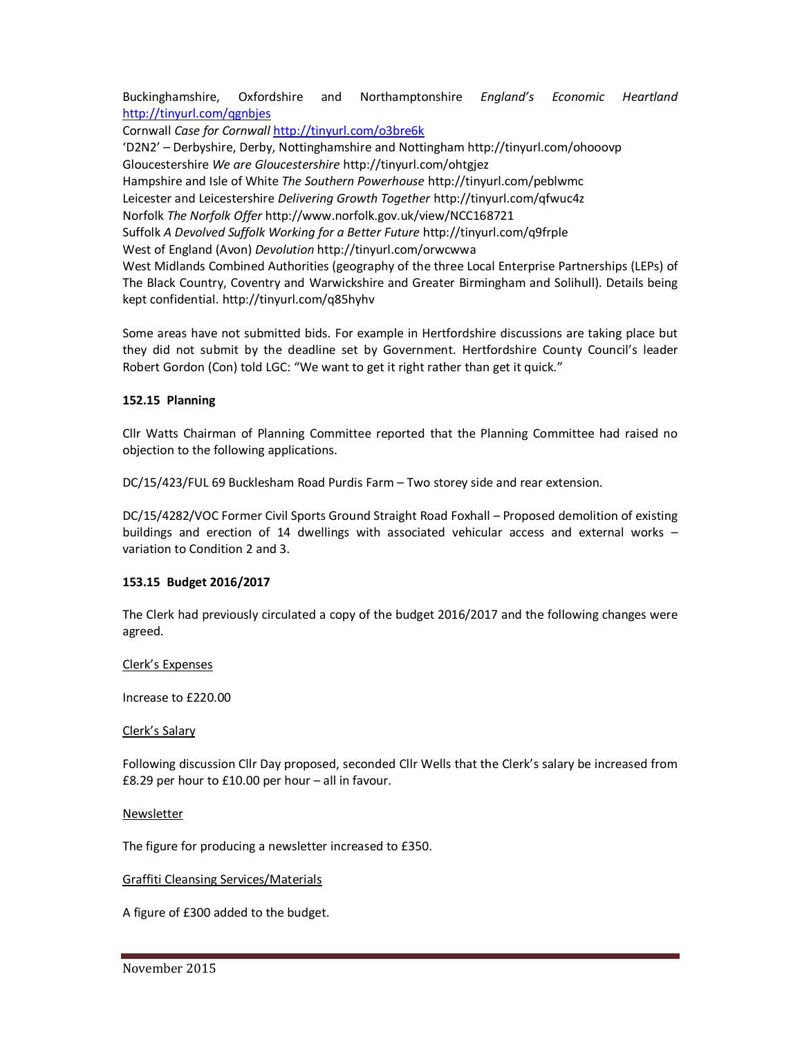Buckinghamshire, Oxfordshire and Northamptonshire *England's Economic Heartland*  http://tinyurl.com/qgnbjes

Cornwall *Case for Cornwall* http://tinyurl.com/o3bre6k

'D2N2' – Derbyshire, Derby, Nottinghamshire and Nottingham http://tinyurl.com/ohooovp Gloucestershire *We are Gloucestershire* http://tinyurl.com/ohtgjez Hampshire and Isle of White *The Southern Powerhouse* http://tinyurl.com/peblwmc

Leicester and Leicestershire *Delivering Growth Together* http://tinyurl.com/qfwuc4z

Norfolk *The Norfolk Offer* http://www.norfolk.gov.uk/view/NCC168721

Suffolk *A Devolved Suffolk Working for a Better Future* http://tinyurl.com/q9frple

West of England (Avon) *Devolution* http://tinyurl.com/orwcwwa

West Midlands Combined Authorities (geography of the three Local Enterprise Partnerships (LEPs) of The Black Country, Coventry and Warwickshire and Greater Birmingham and Solihull). Details being kept confidential. http://tinyurl.com/q85hyhv

Some areas have not submitted bids. For example in Hertfordshire discussions are taking place but they did not submit by the deadline set by Government. Hertfordshire County Council's leader Robert Gordon (Con) told LGC: "We want to get it right rather than get it quick."

### **152.15 Planning**

Cllr Watts Chairman of Planning Committee reported that the Planning Committee had raised no objection to the following applications.

DC/15/423/FUL 69 Bucklesham Road Purdis Farm – Two storey side and rear extension.

DC/15/4282/VOC Former Civil Sports Ground Straight Road Foxhall – Proposed demolition of existing buildings and erection of 14 dwellings with associated vehicular access and external works – variation to Condition 2 and 3.

### **153.15 Budget 2016/2017**

The Clerk had previously circulated a copy of the budget 2016/2017 and the following changes were agreed.

### Clerk's Expenses

Increase to £220.00

### Clerk's Salary

Following discussion Cllr Day proposed, seconded Cllr Wells that the Clerk's salary be increased from £8.29 per hour to £10.00 per hour – all in favour.

### Newsletter

The figure for producing a newsletter increased to £350.

### Graffiti Cleansing Services/Materials

A figure of £300 added to the budget.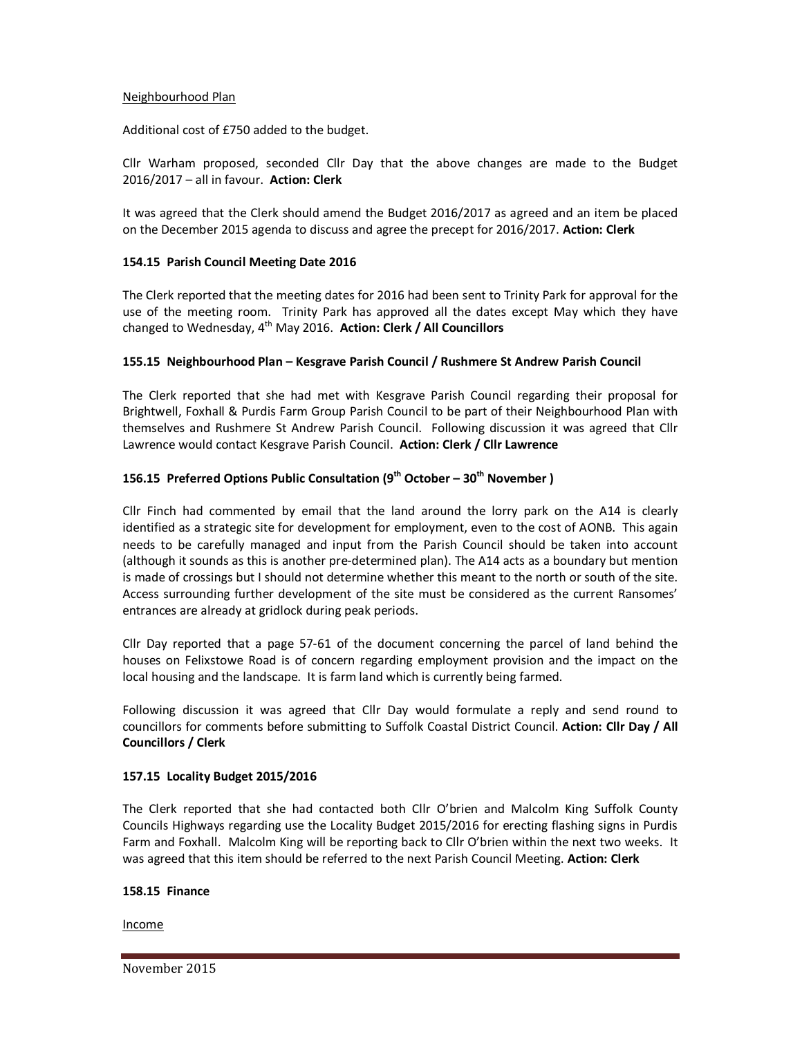#### Neighbourhood Plan

Additional cost of £750 added to the budget.

Cllr Warham proposed, seconded Cllr Day that the above changes are made to the Budget 2016/2017 – all in favour. **Action: Clerk** 

It was agreed that the Clerk should amend the Budget 2016/2017 as agreed and an item be placed on the December 2015 agenda to discuss and agree the precept for 2016/2017. **Action: Clerk** 

### **154.15 Parish Council Meeting Date 2016**

The Clerk reported that the meeting dates for 2016 had been sent to Trinity Park for approval for the use of the meeting room. Trinity Park has approved all the dates except May which they have changed to Wednesday, 4th May 2016. **Action: Clerk / All Councillors** 

### **155.15 Neighbourhood Plan – Kesgrave Parish Council / Rushmere St Andrew Parish Council**

The Clerk reported that she had met with Kesgrave Parish Council regarding their proposal for Brightwell, Foxhall & Purdis Farm Group Parish Council to be part of their Neighbourhood Plan with themselves and Rushmere St Andrew Parish Council. Following discussion it was agreed that Cllr Lawrence would contact Kesgrave Parish Council. **Action: Clerk / Cllr Lawrence** 

# **156.15 Preferred Options Public Consultation (9th October – 30th November )**

Cllr Finch had commented by email that the land around the lorry park on the A14 is clearly identified as a strategic site for development for employment, even to the cost of AONB. This again needs to be carefully managed and input from the Parish Council should be taken into account (although it sounds as this is another pre-determined plan). The A14 acts as a boundary but mention is made of crossings but I should not determine whether this meant to the north or south of the site. Access surrounding further development of the site must be considered as the current Ransomes' entrances are already at gridlock during peak periods.

Cllr Day reported that a page 57-61 of the document concerning the parcel of land behind the houses on Felixstowe Road is of concern regarding employment provision and the impact on the local housing and the landscape. It is farm land which is currently being farmed.

Following discussion it was agreed that Cllr Day would formulate a reply and send round to councillors for comments before submitting to Suffolk Coastal District Council. **Action: Cllr Day / All Councillors / Clerk**

#### **157.15 Locality Budget 2015/2016**

The Clerk reported that she had contacted both Cllr O'brien and Malcolm King Suffolk County Councils Highways regarding use the Locality Budget 2015/2016 for erecting flashing signs in Purdis Farm and Foxhall. Malcolm King will be reporting back to Cllr O'brien within the next two weeks. It was agreed that this item should be referred to the next Parish Council Meeting. **Action: Clerk** 

#### **158.15 Finance**

Income